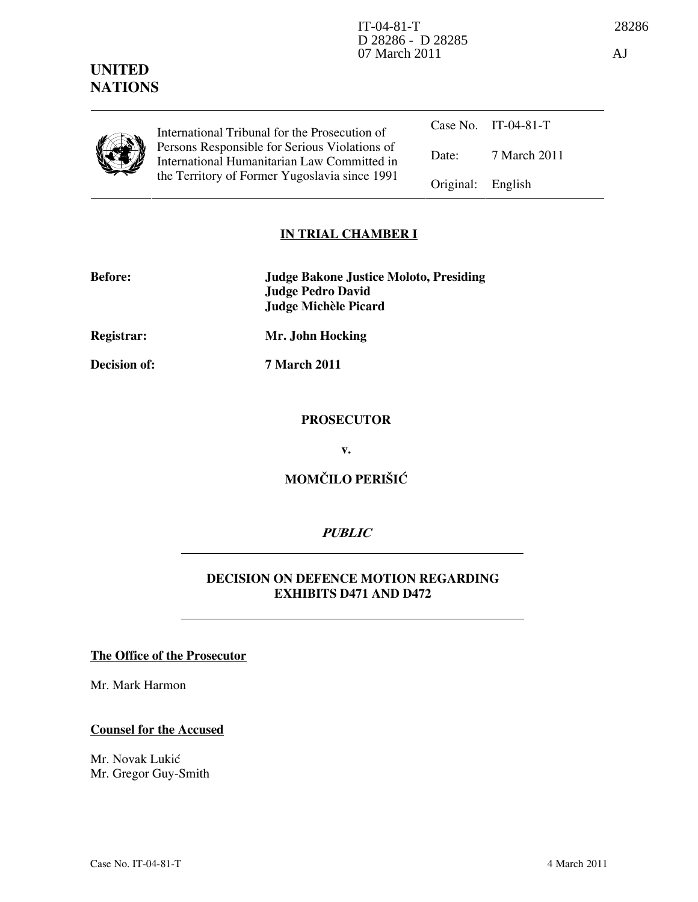# Counsel for the Accused

The Office of the Prosecutor

Mr. Novak Lukić Mr. Gregor Guy-Smith

Mr. Mark Harmon

Case No. IT-04-81-T Date: 7 March 2011 International Tribunal for the Prosecution of Persons Responsible for Serious Violations of International Humanitarian Law Committed in the Territory of Former Yugoslavia since 1991 Original: English

### IN TRIAL CHAMBER I

| <b>Before:</b> | <b>Judge Bakone Justice Moloto, Presiding</b> |
|----------------|-----------------------------------------------|
|                | Judge Pedro David                             |
|                | Judge Michèle Picard                          |

Registrar: Mr. John Hocking

Decision of: 7 March 2011

#### **PROSECUTOR**

v.

# MOMČILO PERIŠIĆ

## **PUBLIC**

### DECISION ON DEFENCE MOTION REGARDING EXHIBITS D471 AND D472

UNITED **NATIONS**